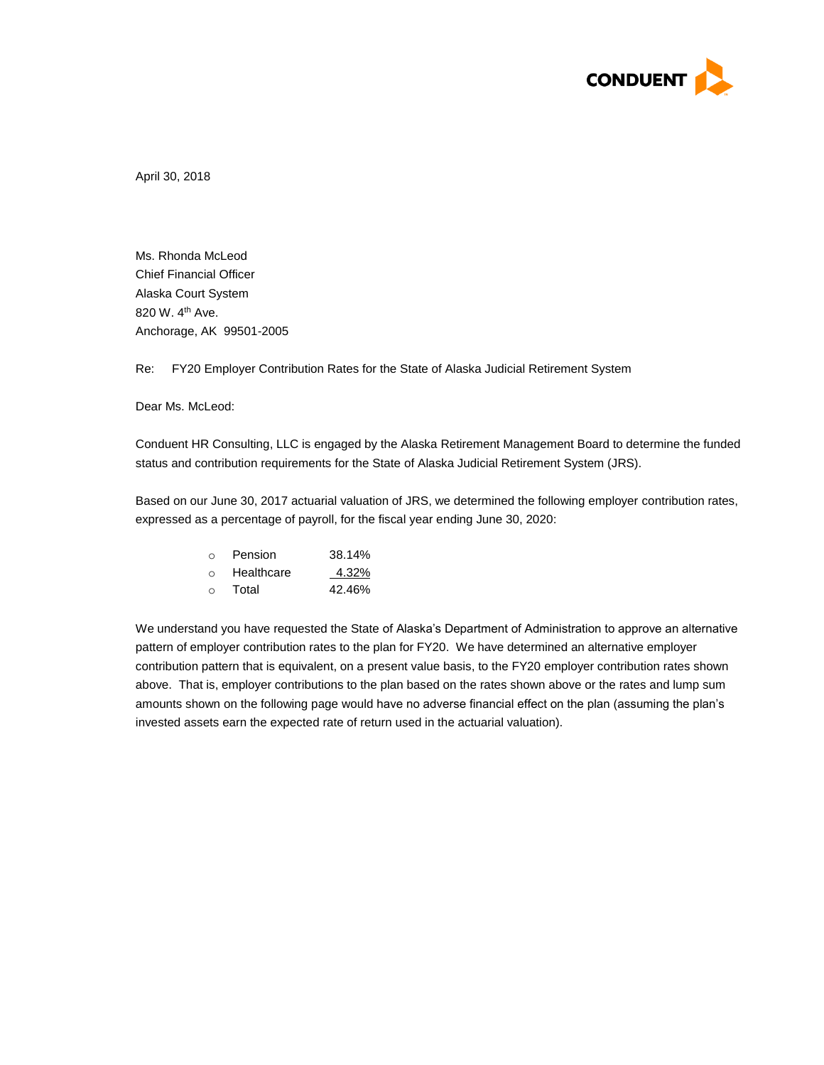

April 30, 2018

Ms. Rhonda McLeod Chief Financial Officer Alaska Court System 820 W. 4<sup>th</sup> Ave. Anchorage, AK 99501-2005

Re: FY20 Employer Contribution Rates for the State of Alaska Judicial Retirement System

Dear Ms. McLeod:

Conduent HR Consulting, LLC is engaged by the Alaska Retirement Management Board to determine the funded status and contribution requirements for the State of Alaska Judicial Retirement System (JRS).

Based on our June 30, 2017 actuarial valuation of JRS, we determined the following employer contribution rates, expressed as a percentage of payroll, for the fiscal year ending June 30, 2020:

| ∩      | Pension    | 38.14% |
|--------|------------|--------|
| $\cap$ | Healthcare | 4.32%  |
| $\cap$ | Total      | 42.46% |

We understand you have requested the State of Alaska's Department of Administration to approve an alternative pattern of employer contribution rates to the plan for FY20. We have determined an alternative employer contribution pattern that is equivalent, on a present value basis, to the FY20 employer contribution rates shown above. That is, employer contributions to the plan based on the rates shown above or the rates and lump sum amounts shown on the following page would have no adverse financial effect on the plan (assuming the plan's invested assets earn the expected rate of return used in the actuarial valuation).